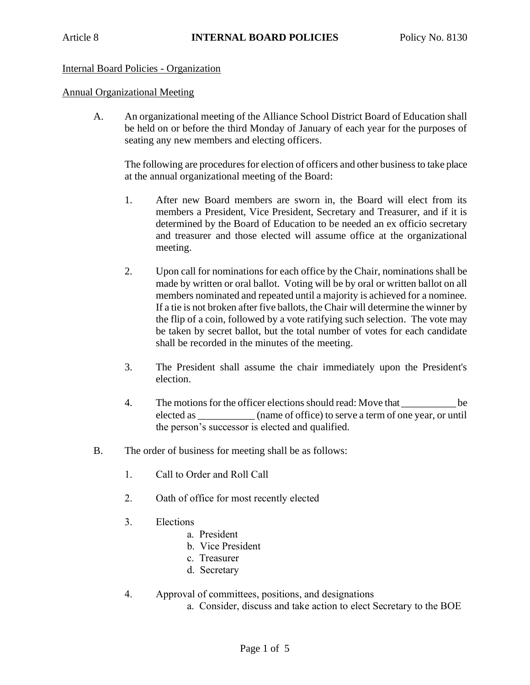## Internal Board Policies - Organization

## Annual Organizational Meeting

A. An organizational meeting of the Alliance School District Board of Education shall be held on or before the third Monday of January of each year for the purposes of seating any new members and electing officers.

The following are procedures for election of officers and other business to take place at the annual organizational meeting of the Board:

- 1. After new Board members are sworn in, the Board will elect from its members a President, Vice President, Secretary and Treasurer, and if it is determined by the Board of Education to be needed an ex officio secretary and treasurer and those elected will assume office at the organizational meeting.
- 2. Upon call for nominations for each office by the Chair, nominations shall be made by written or oral ballot. Voting will be by oral or written ballot on all members nominated and repeated until a majority is achieved for a nominee. If a tie is not broken after five ballots, the Chair will determine the winner by the flip of a coin, followed by a vote ratifying such selection. The vote may be taken by secret ballot, but the total number of votes for each candidate shall be recorded in the minutes of the meeting.
- 3. The President shall assume the chair immediately upon the President's election.
- 4. The motions for the officer elections should read: Move that \_\_\_\_\_\_\_\_\_\_ be elected as \_\_\_\_\_\_\_\_\_\_\_ (name of office) to serve a term of one year, or until the person's successor is elected and qualified.
- B. The order of business for meeting shall be as follows:
	- 1. Call to Order and Roll Call
	- 2. Oath of office for most recently elected
	- 3. Elections
		- a. President
		- b. Vice President
		- c. Treasurer
		- d. Secretary
	- 4. Approval of committees, positions, and designations
		- a. Consider, discuss and take action to elect Secretary to the BOE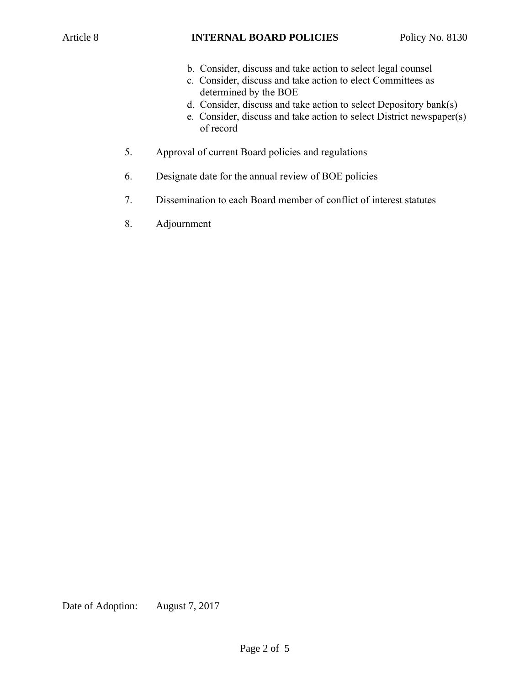- b. Consider, discuss and take action to select legal counsel
- c. Consider, discuss and take action to elect Committees as determined by the BOE
- d. Consider, discuss and take action to select Depository bank(s)
- e. Consider, discuss and take action to select District newspaper(s) of record
- 5. Approval of current Board policies and regulations
- 6. Designate date for the annual review of BOE policies
- 7. Dissemination to each Board member of conflict of interest statutes
- 8. Adjournment

Date of Adoption: August 7, 2017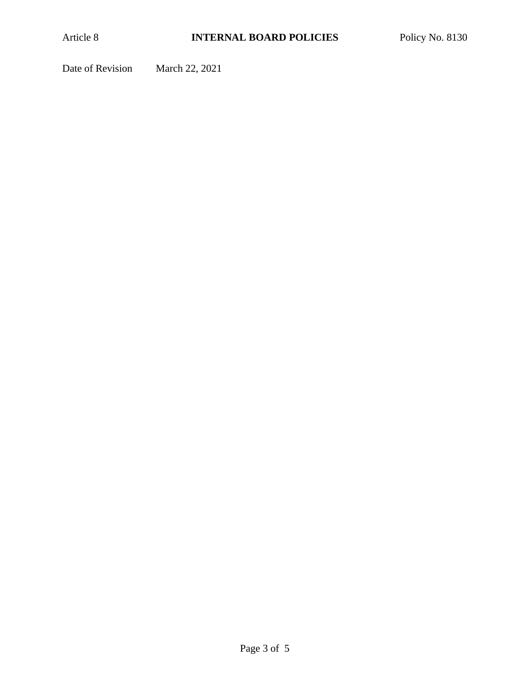Date of Revision March 22, 2021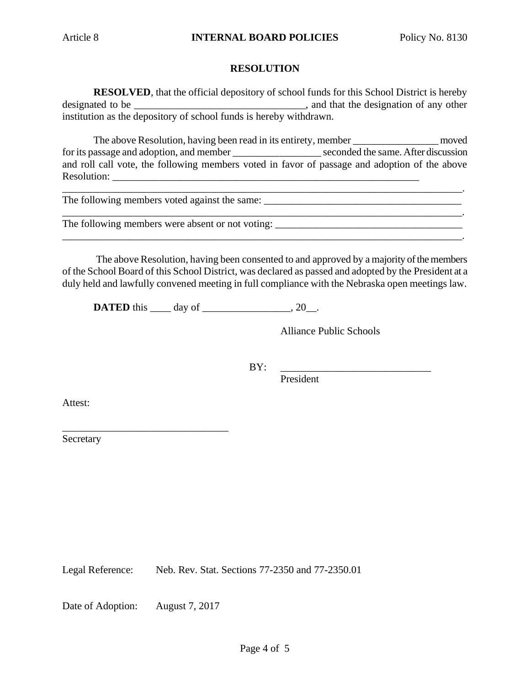## **RESOLUTION**

**RESOLVED**, that the official depository of school funds for this School District is hereby designated to be \_\_\_\_\_\_\_\_\_\_\_\_\_\_\_\_\_\_\_\_\_\_\_\_\_\_\_\_\_\_\_\_\_\_, and that the designation of any other institution as the depository of school funds is hereby withdrawn.

The above Resolution, having been read in its entirety, member \_\_\_\_\_\_\_\_\_\_\_\_\_\_\_\_\_\_ moved for its passage and adoption, and member seconded the same. After discussion and roll call vote, the following members voted in favor of passage and adoption of the above Resolution:

\_\_\_\_\_\_\_\_\_\_\_\_\_\_\_\_\_\_\_\_\_\_\_\_\_\_\_\_\_\_\_\_\_\_\_\_\_\_\_\_\_\_\_\_\_\_\_\_\_\_\_\_\_\_\_\_\_\_\_\_\_\_\_\_\_\_\_\_\_\_\_\_\_\_\_\_\_.

The following members voted against the same: \_\_\_\_\_\_\_\_\_\_\_\_\_\_\_\_\_\_\_\_\_\_\_\_\_\_\_\_\_\_\_\_\_\_

The following members were absent or not voting: \_\_\_\_\_\_\_\_\_\_\_\_\_\_\_\_\_\_\_\_\_\_\_\_\_\_\_\_\_\_\_

The above Resolution, having been consented to and approved by a majority of the members of the School Board of this School District, was declared as passed and adopted by the President at a duly held and lawfully convened meeting in full compliance with the Nebraska open meetings law.

\_\_\_\_\_\_\_\_\_\_\_\_\_\_\_\_\_\_\_\_\_\_\_\_\_\_\_\_\_\_\_\_\_\_\_\_\_\_\_\_\_\_\_\_\_\_\_\_\_\_\_\_\_\_\_\_\_\_\_\_\_\_\_\_\_\_\_\_\_\_\_\_\_\_\_\_\_.

**DATED** this day of 20.

Alliance Public Schools

\_\_\_\_\_\_\_\_\_\_\_\_\_\_\_\_\_\_\_\_\_\_\_\_\_\_\_\_\_\_\_\_\_\_\_\_\_\_\_\_\_\_\_\_\_\_\_\_\_\_\_\_\_\_\_\_\_\_\_\_\_\_\_\_\_\_\_\_\_\_\_\_\_\_\_\_\_.

BY: \_\_\_\_\_\_\_\_\_\_\_\_\_\_\_\_\_\_\_\_\_\_\_\_\_\_\_\_\_

President

Attest:

Secretary

Legal Reference: Neb. Rev. Stat. Sections 77-2350 and 77-2350.01

Date of Adoption: August 7, 2017

\_\_\_\_\_\_\_\_\_\_\_\_\_\_\_\_\_\_\_\_\_\_\_\_\_\_\_\_\_\_\_\_